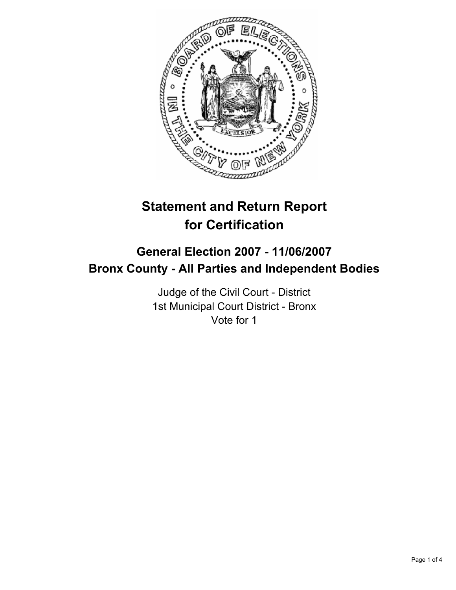

# **Statement and Return Report for Certification**

# **General Election 2007 - 11/06/2007 Bronx County - All Parties and Independent Bodies**

Judge of the Civil Court - District 1st Municipal Court District - Bronx Vote for 1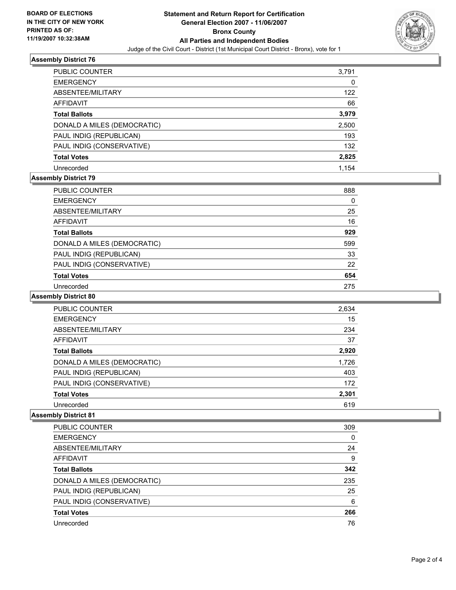

# **Assembly District 76**

| PUBLIC COUNTER              | 3,791 |
|-----------------------------|-------|
| <b>EMERGENCY</b>            | 0     |
| ABSENTEE/MILITARY           | 122   |
| AFFIDAVIT                   | 66    |
| <b>Total Ballots</b>        | 3,979 |
| DONALD A MILES (DEMOCRATIC) | 2,500 |
| PAUL INDIG (REPUBLICAN)     | 193   |
| PAUL INDIG (CONSERVATIVE)   | 132   |
| <b>Total Votes</b>          | 2,825 |
| Unrecorded                  | 1.154 |

# **Assembly District 79**

| <b>PUBLIC COUNTER</b>       | 888 |
|-----------------------------|-----|
| <b>EMERGENCY</b>            | 0   |
| ABSENTEE/MILITARY           | 25  |
| AFFIDAVIT                   | 16  |
| <b>Total Ballots</b>        | 929 |
| DONALD A MILES (DEMOCRATIC) | 599 |
| PAUL INDIG (REPUBLICAN)     | 33  |
| PAUL INDIG (CONSERVATIVE)   | 22  |
| <b>Total Votes</b>          | 654 |
| Unrecorded                  | 275 |

#### **Assembly District 80**

| PUBLIC COUNTER              | 2,634 |  |
|-----------------------------|-------|--|
| <b>EMERGENCY</b>            | 15    |  |
| ABSENTEE/MILITARY           | 234   |  |
| <b>AFFIDAVIT</b>            | 37    |  |
| <b>Total Ballots</b>        | 2,920 |  |
| DONALD A MILES (DEMOCRATIC) | 1,726 |  |
| PAUL INDIG (REPUBLICAN)     | 403   |  |
| PAUL INDIG (CONSERVATIVE)   | 172   |  |
| <b>Total Votes</b>          | 2,301 |  |
| Unrecorded                  | 619   |  |

#### **Assembly District 81**

| PUBLIC COUNTER              | 309 |
|-----------------------------|-----|
| <b>EMERGENCY</b>            |     |
| ABSENTEE/MILITARY           | 24  |
| <b>AFFIDAVIT</b>            | 9   |
| <b>Total Ballots</b>        | 342 |
| DONALD A MILES (DEMOCRATIC) | 235 |
| PAUL INDIG (REPUBLICAN)     | 25  |
| PAUL INDIG (CONSERVATIVE)   | 6   |
| <b>Total Votes</b>          | 266 |
| Unrecorded                  | 76  |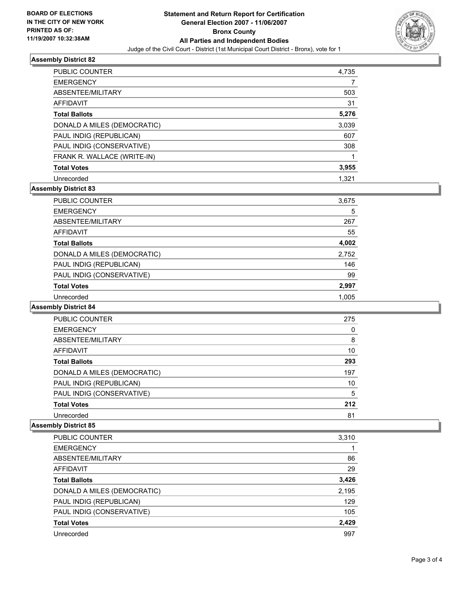

# **Assembly District 82**

| PUBLIC COUNTER              | 4,735 |  |
|-----------------------------|-------|--|
| <b>EMERGENCY</b>            |       |  |
| ABSENTEE/MILITARY           | 503   |  |
| <b>AFFIDAVIT</b>            | 31    |  |
| <b>Total Ballots</b>        | 5,276 |  |
| DONALD A MILES (DEMOCRATIC) | 3,039 |  |
| PAUL INDIG (REPUBLICAN)     | 607   |  |
| PAUL INDIG (CONSERVATIVE)   | 308   |  |
| FRANK R. WALLACE (WRITE-IN) |       |  |
| <b>Total Votes</b>          | 3,955 |  |
| Unrecorded                  | 1.321 |  |

# **Assembly District 83**

| PUBLIC COUNTER              | 3,675 |
|-----------------------------|-------|
| <b>EMERGENCY</b>            | 5     |
| ABSENTEE/MILITARY           | 267   |
| AFFIDAVIT                   | 55    |
| <b>Total Ballots</b>        | 4,002 |
| DONALD A MILES (DEMOCRATIC) | 2,752 |
| PAUL INDIG (REPUBLICAN)     | 146   |
| PAUL INDIG (CONSERVATIVE)   | 99    |
| <b>Total Votes</b>          | 2,997 |
| Unrecorded                  | 1.005 |

#### **Assembly District 84**

| PUBLIC COUNTER              | 275 |  |
|-----------------------------|-----|--|
| <b>EMERGENCY</b>            |     |  |
| ABSENTEE/MILITARY           | 8   |  |
| AFFIDAVIT                   | 10  |  |
| <b>Total Ballots</b>        | 293 |  |
| DONALD A MILES (DEMOCRATIC) | 197 |  |
| PAUL INDIG (REPUBLICAN)     | 10  |  |
| PAUL INDIG (CONSERVATIVE)   | 5   |  |
| <b>Total Votes</b>          | 212 |  |
| Unrecorded                  | 81  |  |

#### **Assembly District 85**

| PUBLIC COUNTER              | 3,310 |
|-----------------------------|-------|
| <b>EMERGENCY</b>            |       |
| ABSENTEE/MILITARY           | 86    |
| <b>AFFIDAVIT</b>            | 29    |
| <b>Total Ballots</b>        | 3,426 |
| DONALD A MILES (DEMOCRATIC) | 2,195 |
| PAUL INDIG (REPUBLICAN)     | 129   |
| PAUL INDIG (CONSERVATIVE)   | 105   |
| <b>Total Votes</b>          | 2,429 |
| Unrecorded                  | 997   |